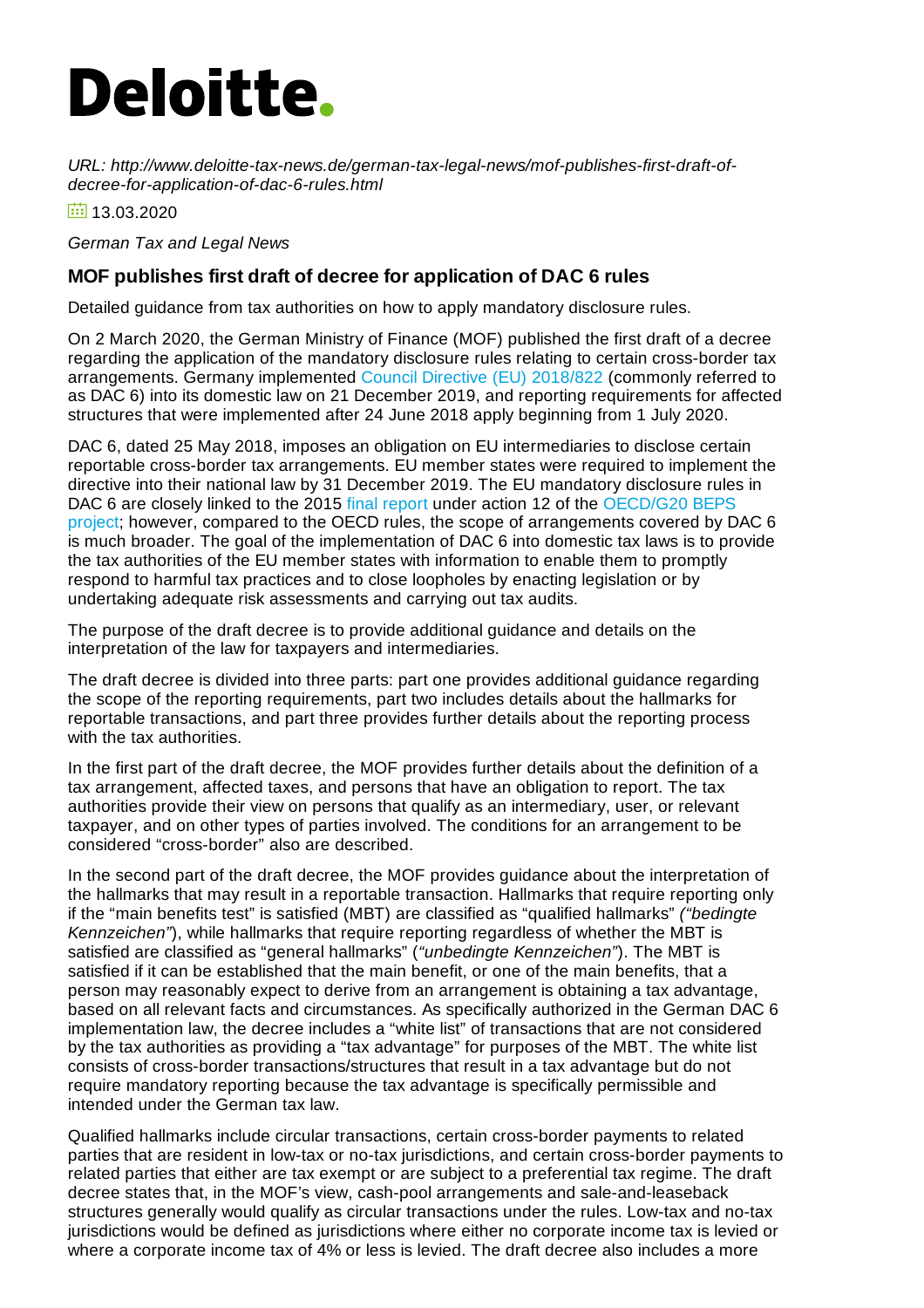## **Deloitte.**

*URL: http://www.deloitte-tax-news.de/german-tax-legal-news/mof-publishes-first-draft-ofdecree-for-application-of-dac-6-rules.html*

 $\frac{1}{131}$  13.03.2020

*German Tax and Legal News*

## **MOF publishes first draft of decree for application of DAC 6 rules**

Detailed guidance from tax authorities on how to apply mandatory disclosure rules.

On 2 March 2020, the German Ministry of Finance (MOF) published the first draft of a decree regarding the application of the mandatory disclosure rules relating to certain cross-border tax arrangements. Germany implemented Council Directive (EU) [2018/822](https://eur-lex.europa.eu/eli/dir/2018/822/oj) (commonly referred to as DAC 6) into its domestic law on 21 December 2019, and reporting requirements for affected structures that were implemented after 24 June 2018 apply beginning from 1 July 2020.

DAC 6, dated 25 May 2018, imposes an obligation on EU intermediaries to disclose certain reportable cross-border tax arrangements. EU member states were required to implement the directive into their national law by 31 December 2019. The EU mandatory disclosure rules in DAC 6 are closely linked to the 2015 final [report](https://read.oecd-ilibrary.org/taxation/mandatory-disclosure-rules-action-12-2015-final-report_9789264241442-en#page1) under action 12 of the OECD/G20 BEPS project; however, compared to the OECD rules, the scope of [arrangements](http://www.oecd.org/tax/beps/) covered by DAC 6 is much broader. The goal of the implementation of DAC 6 into domestic tax laws is to provide the tax authorities of the EU member states with information to enable them to promptly respond to harmful tax practices and to close loopholes by enacting legislation or by undertaking adequate risk assessments and carrying out tax audits.

The purpose of the draft decree is to provide additional guidance and details on the interpretation of the law for taxpayers and intermediaries.

The draft decree is divided into three parts: part one provides additional guidance regarding the scope of the reporting requirements, part two includes details about the hallmarks for reportable transactions, and part three provides further details about the reporting process with the tax authorities.

In the first part of the draft decree, the MOF provides further details about the definition of a tax arrangement, affected taxes, and persons that have an obligation to report. The tax authorities provide their view on persons that qualify as an intermediary, user, or relevant taxpayer, and on other types of parties involved. The conditions for an arrangement to be considered "cross-border" also are described.

In the second part of the draft decree, the MOF provides guidance about the interpretation of the hallmarks that may result in a reportable transaction. Hallmarks that require reporting only if the "main benefits test" is satisfied (MBT) are classified as "qualified hallmarks" *("bedingte Kennzeichen"*), while hallmarks that require reporting regardless of whether the MBT is satisfied are classified as "general hallmarks" (*"unbedingte Kennzeichen"*). The MBT is satisfied if it can be established that the main benefit, or one of the main benefits, that a person may reasonably expect to derive from an arrangement is obtaining a tax advantage, based on all relevant facts and circumstances. As specifically authorized in the German DAC 6 implementation law, the decree includes a "white list" of transactions that are not considered by the tax authorities as providing a "tax advantage" for purposes of the MBT. The white list consists of cross-border transactions/structures that result in a tax advantage but do not require mandatory reporting because the tax advantage is specifically permissible and intended under the German tax law.

Qualified hallmarks include circular transactions, certain cross-border payments to related parties that are resident in low-tax or no-tax jurisdictions, and certain cross-border payments to related parties that either are tax exempt or are subject to a preferential tax regime. The draft decree states that, in the MOF's view, cash-pool arrangements and sale-and-leaseback structures generally would qualify as circular transactions under the rules. Low-tax and no-tax jurisdictions would be defined as jurisdictions where either no corporate income tax is levied or where a corporate income tax of 4% or less is levied. The draft decree also includes a more